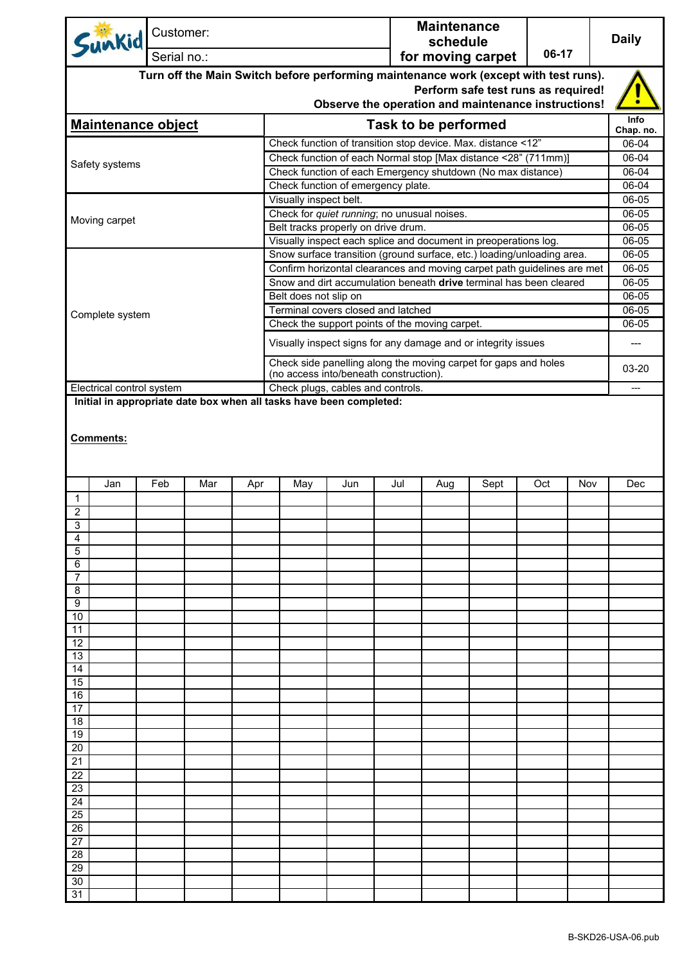| Sunkid                                                                                                                                            |                           | Customer:   |     |     |                                                                                                          |     | <b>Maintenance</b><br>schedule |                             |                                                     |       | <b>Daily</b> |                          |
|---------------------------------------------------------------------------------------------------------------------------------------------------|---------------------------|-------------|-----|-----|----------------------------------------------------------------------------------------------------------|-----|--------------------------------|-----------------------------|-----------------------------------------------------|-------|--------------|--------------------------|
|                                                                                                                                                   |                           | Serial no.: |     |     |                                                                                                          |     |                                |                             | for moving carpet                                   | 06-17 |              |                          |
|                                                                                                                                                   |                           |             |     |     | Turn off the Main Switch before performing maintenance work (except with test runs).                     |     |                                |                             | Perform safe test runs as required!                 |       |              |                          |
|                                                                                                                                                   |                           |             |     |     |                                                                                                          |     |                                |                             | Observe the operation and maintenance instructions! |       |              |                          |
|                                                                                                                                                   | <b>Maintenance object</b> |             |     |     |                                                                                                          |     |                                | <b>Task to be performed</b> |                                                     |       |              | <b>Info</b><br>Chap. no. |
|                                                                                                                                                   |                           |             |     |     | Check function of transition stop device. Max. distance <12"                                             |     |                                |                             |                                                     |       |              | 06-04                    |
| Safety systems                                                                                                                                    |                           |             |     |     | Check function of each Normal stop [Max distance <28" (711mm)]                                           |     |                                |                             |                                                     |       |              | 06-04                    |
|                                                                                                                                                   |                           |             |     |     | Check function of each Emergency shutdown (No max distance)                                              |     |                                |                             |                                                     |       |              | 06-04                    |
|                                                                                                                                                   |                           |             |     |     | Check function of emergency plate.                                                                       |     |                                |                             |                                                     |       |              | 06-04                    |
| Visually inspect belt.                                                                                                                            |                           |             |     |     |                                                                                                          |     |                                |                             | 06-05                                               |       |              |                          |
| Check for quiet running; no unusual noises.<br>Moving carpet                                                                                      |                           |             |     |     |                                                                                                          |     |                                |                             | 06-05<br>06-05                                      |       |              |                          |
|                                                                                                                                                   |                           |             |     |     | Belt tracks properly on drive drum.<br>Visually inspect each splice and document in preoperations log.   |     |                                |                             |                                                     |       |              | 06-05                    |
|                                                                                                                                                   |                           |             |     |     |                                                                                                          |     |                                |                             |                                                     |       |              | 06-05                    |
| Snow surface transition (ground surface, etc.) loading/unloading area.<br>Confirm horizontal clearances and moving carpet path guidelines are met |                           |             |     |     |                                                                                                          |     |                                |                             |                                                     |       | 06-05        |                          |
|                                                                                                                                                   |                           |             |     |     | Snow and dirt accumulation beneath drive terminal has been cleared                                       |     |                                |                             |                                                     |       |              | $06 - 05$                |
| Belt does not slip on                                                                                                                             |                           |             |     |     |                                                                                                          |     |                                |                             |                                                     |       |              | $06 - 05$                |
| Complete system                                                                                                                                   |                           |             |     |     | Terminal covers closed and latched                                                                       |     |                                |                             |                                                     |       |              | 06-05                    |
|                                                                                                                                                   |                           |             |     |     | Check the support points of the moving carpet.                                                           |     |                                |                             |                                                     |       |              | 06-05                    |
|                                                                                                                                                   |                           |             |     |     | Visually inspect signs for any damage and or integrity issues                                            |     |                                |                             |                                                     |       |              | ---                      |
|                                                                                                                                                   |                           |             |     |     | Check side panelling along the moving carpet for gaps and holes                                          |     |                                |                             |                                                     |       |              | 03-20                    |
|                                                                                                                                                   |                           |             |     |     | (no access into/beneath construction).                                                                   |     |                                |                             |                                                     |       |              |                          |
| Electrical control system                                                                                                                         |                           |             |     |     | Check plugs, cables and controls.<br>Initial in appropriate date box when all tasks have been completed: |     |                                |                             |                                                     |       |              |                          |
| <b>Comments:</b>                                                                                                                                  |                           |             |     |     |                                                                                                          |     |                                |                             |                                                     |       |              |                          |
|                                                                                                                                                   | Jan                       | Feb         | Mar | Apr | May                                                                                                      | Jun | Jul                            | Aug                         | Sept                                                | Oct   | Nov          | Dec                      |
| $\mathbf{1}$<br>$\overline{c}$                                                                                                                    |                           |             |     |     |                                                                                                          |     |                                |                             |                                                     |       |              |                          |
| 3                                                                                                                                                 |                           |             |     |     |                                                                                                          |     |                                |                             |                                                     |       |              |                          |
| 4                                                                                                                                                 |                           |             |     |     |                                                                                                          |     |                                |                             |                                                     |       |              |                          |
| 5                                                                                                                                                 |                           |             |     |     |                                                                                                          |     |                                |                             |                                                     |       |              |                          |
| 6                                                                                                                                                 |                           |             |     |     |                                                                                                          |     |                                |                             |                                                     |       |              |                          |
| 8                                                                                                                                                 |                           |             |     |     |                                                                                                          |     |                                |                             |                                                     |       |              |                          |
| 9                                                                                                                                                 |                           |             |     |     |                                                                                                          |     |                                |                             |                                                     |       |              |                          |
| 10                                                                                                                                                |                           |             |     |     |                                                                                                          |     |                                |                             |                                                     |       |              |                          |
| 11                                                                                                                                                |                           |             |     |     |                                                                                                          |     |                                |                             |                                                     |       |              |                          |
| 12<br>13                                                                                                                                          |                           |             |     |     |                                                                                                          |     |                                |                             |                                                     |       |              |                          |
| 14                                                                                                                                                |                           |             |     |     |                                                                                                          |     |                                |                             |                                                     |       |              |                          |
| 15                                                                                                                                                |                           |             |     |     |                                                                                                          |     |                                |                             |                                                     |       |              |                          |
| 16                                                                                                                                                |                           |             |     |     |                                                                                                          |     |                                |                             |                                                     |       |              |                          |
| 17                                                                                                                                                |                           |             |     |     |                                                                                                          |     |                                |                             |                                                     |       |              |                          |
| 18<br>19                                                                                                                                          |                           |             |     |     |                                                                                                          |     |                                |                             |                                                     |       |              |                          |
| 20                                                                                                                                                |                           |             |     |     |                                                                                                          |     |                                |                             |                                                     |       |              |                          |
| 21                                                                                                                                                |                           |             |     |     |                                                                                                          |     |                                |                             |                                                     |       |              |                          |
| 22                                                                                                                                                |                           |             |     |     |                                                                                                          |     |                                |                             |                                                     |       |              |                          |
| 23                                                                                                                                                |                           |             |     |     |                                                                                                          |     |                                |                             |                                                     |       |              |                          |
| 24<br>25                                                                                                                                          |                           |             |     |     |                                                                                                          |     |                                |                             |                                                     |       |              |                          |
| 26                                                                                                                                                |                           |             |     |     |                                                                                                          |     |                                |                             |                                                     |       |              |                          |
| 27                                                                                                                                                |                           |             |     |     |                                                                                                          |     |                                |                             |                                                     |       |              |                          |
| 28                                                                                                                                                |                           |             |     |     |                                                                                                          |     |                                |                             |                                                     |       |              |                          |
| 29                                                                                                                                                |                           |             |     |     |                                                                                                          |     |                                |                             |                                                     |       |              |                          |
| 30                                                                                                                                                |                           |             |     |     |                                                                                                          |     |                                |                             |                                                     |       |              |                          |
| 31                                                                                                                                                |                           |             |     |     |                                                                                                          |     |                                |                             |                                                     |       |              |                          |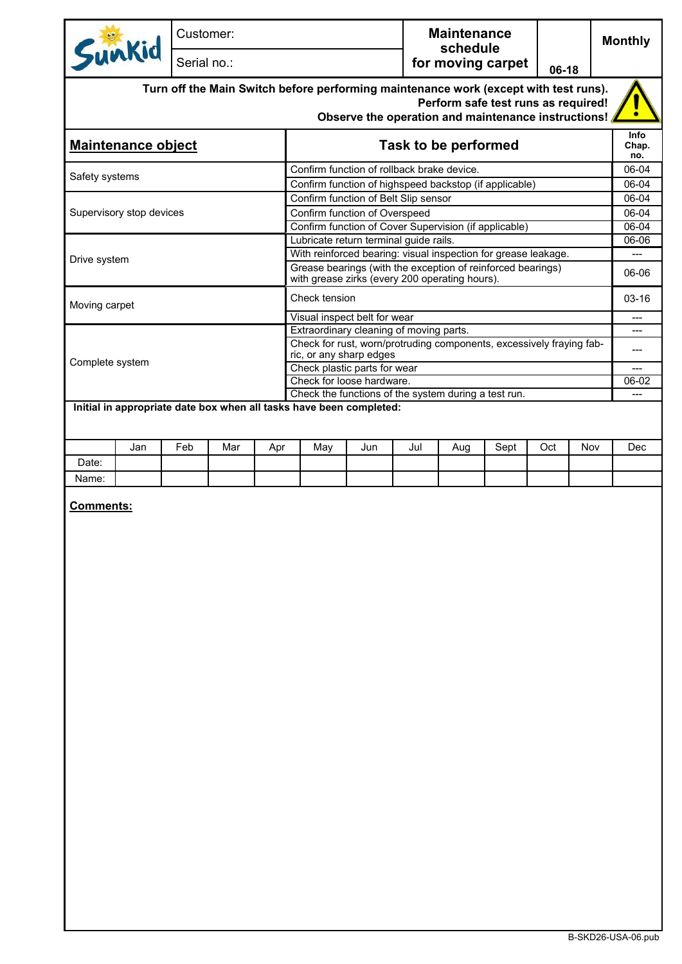|                           | Customer:<br>Serial no.: |     |     |                                                        |                                                                                                                                             | <b>Maintenance</b><br>schedule<br>for moving carpet |                                     |       |     | <b>Monthly</b> |                             |
|---------------------------|--------------------------|-----|-----|--------------------------------------------------------|---------------------------------------------------------------------------------------------------------------------------------------------|-----------------------------------------------------|-------------------------------------|-------|-----|----------------|-----------------------------|
| Sunkid                    |                          |     |     |                                                        |                                                                                                                                             |                                                     |                                     | 06-18 |     |                |                             |
|                           |                          |     |     |                                                        | Turn off the Main Switch before performing maintenance work (except with test runs).<br>Observe the operation and maintenance instructions! |                                                     | Perform safe test runs as required! |       |     |                |                             |
| <b>Maintenance object</b> |                          |     |     | <b>Task to be performed</b>                            |                                                                                                                                             |                                                     |                                     |       |     |                | <b>Info</b><br>Chap.<br>no. |
| Safety systems            |                          |     |     |                                                        | Confirm function of rollback brake device.                                                                                                  |                                                     |                                     |       |     |                | 06-04<br>06-04              |
|                           |                          |     |     | Confirm function of highspeed backstop (if applicable) |                                                                                                                                             |                                                     |                                     |       |     |                |                             |
|                           |                          |     |     |                                                        | Confirm function of Belt Slip sensor                                                                                                        |                                                     |                                     |       |     |                | 06-04                       |
| Supervisory stop devices  |                          |     |     |                                                        | Confirm function of Overspeed<br>Confirm function of Cover Supervision (if applicable)                                                      |                                                     |                                     |       |     |                | 06-04<br>06-04              |
|                           |                          |     |     |                                                        | Lubricate return terminal guide rails.                                                                                                      |                                                     |                                     |       |     |                | 06-06                       |
|                           |                          |     |     |                                                        | With reinforced bearing: visual inspection for grease leakage.                                                                              |                                                     |                                     |       |     |                |                             |
| Drive system              |                          |     |     |                                                        | Grease bearings (with the exception of reinforced bearings)<br>with grease zirks (every 200 operating hours).                               |                                                     |                                     |       |     |                | 06-06                       |
| Moving carpet             |                          |     |     | Check tension                                          |                                                                                                                                             |                                                     |                                     |       |     |                | $03 - 16$                   |
|                           |                          |     |     |                                                        | Visual inspect belt for wear                                                                                                                |                                                     |                                     |       |     |                | ---                         |
|                           |                          |     |     |                                                        | Extraordinary cleaning of moving parts.<br>Check for rust, worn/protruding components, excessively fraying fab-                             |                                                     |                                     |       |     |                | ---                         |
|                           |                          |     |     |                                                        | ric, or any sharp edges                                                                                                                     |                                                     |                                     |       |     |                | ---                         |
| Complete system           |                          |     |     |                                                        | Check plastic parts for wear                                                                                                                |                                                     |                                     |       |     |                |                             |
|                           |                          |     |     |                                                        | Check for loose hardware.<br>Check the functions of the system during a test run.                                                           |                                                     |                                     |       |     |                | 06-02                       |
| Jan                       | Feb                      | Mar | Apr | May                                                    | Jun                                                                                                                                         | Jul                                                 | Aug                                 | Sept  | Oct | Nov            | <b>Dec</b>                  |
| Date:                     |                          |     |     |                                                        |                                                                                                                                             |                                                     |                                     |       |     |                |                             |
| Name:                     |                          |     |     |                                                        |                                                                                                                                             |                                                     |                                     |       |     |                |                             |
| <b>Comments:</b>          |                          |     |     |                                                        |                                                                                                                                             |                                                     |                                     |       |     |                |                             |